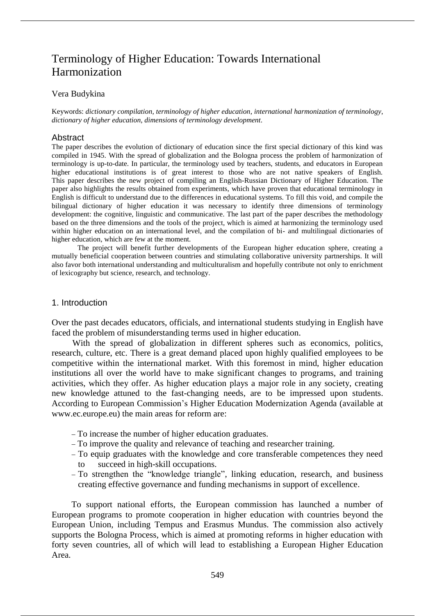# Terminology of Higher Education: Towards International Harmonization

# Vera Budykina

Keywords: *dictionary compilation*, *terminology of higher education*, *international harmonization of terminology*, *dictionary of higher education*, *dimensions of terminology development*.

# Abstract

The paper describes the evolution of dictionary of education since the first special dictionary of this kind was compiled in 1945. With the spread of globalization and the Bologna process the problem of harmonization of terminology is up-to-date. In particular, the terminology used by teachers, students, and educators in European higher educational institutions is of great interest to those who are not native speakers of English. This paper describes the new project of compiling an English-Russian Dictionary of Higher Education. The paper also highlights the results obtained from experiments, which have proven that educational terminology in English is difficult to understand due to the differences in educational systems. To fill this void, and compile the bilingual dictionary of higher education it was necessary to identify three dimensions of terminology development: the cognitive, linguistic and communicative. The last part of the paper describes the methodology based on the three dimensions and the tools of the project, which is aimed at harmonizing the terminology used within higher education on an international level, and the compilation of bi- and multilingual dictionaries of higher education, which are few at the moment.

The project will benefit further developments of the European higher education sphere, creating a mutually beneficial cooperation between countries and stimulating collaborative university partnerships. It will also favor both international understanding and multiculturalism and hopefully contribute not only to enrichment of lexicography but science, research, and technology.

# 1. Introduction

Over the past decades educators, officials, and international students studying in English have faced the problem of misunderstanding terms used in higher education.

With the spread of globalization in different spheres such as economics, politics, research, culture, etc. There is a great demand placed upon highly qualified employees to be competitive within the international market. With this foremost in mind, higher education institutions all over the world have to make significant changes to programs, and training activities, which they offer. As higher education plays a major role in any society, creating new knowledge attuned to the fast-changing needs, are to be impressed upon students. According to European Commission's Higher Education Modernization Agenda (available at www.ec.europe.eu) the main areas for reform are:

- To increase the number of higher education graduates.
- To improve the quality and relevance of teaching and researcher training.
- To equip graduates with the knowledge and core transferable competences they need to succeed in high-skill occupations.
- To strengthen the "knowledge triangle", linking education, research, and business creating effective governance and funding mechanisms in support of excellence.

To support national efforts, the European commission has launched a number of European programs to promote cooperation in higher education with countries beyond the European Union, including Tempus and Erasmus Mundus. The commission also actively supports the Bologna Process, which is aimed at promoting reforms in higher education with forty seven countries, all of which will lead to establishing a European Higher Education Area.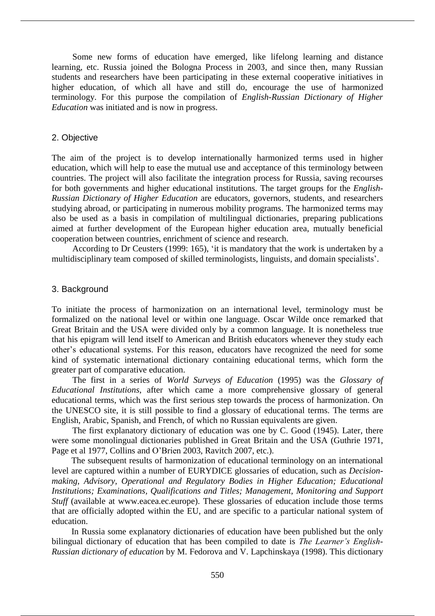Some new forms of education have emerged, like lifelong learning and distance learning, etc. Russia joined the Bologna Process in 2003, and since then, many Russian students and researchers have been participating in these external cooperative initiatives in higher education, of which all have and still do, encourage the use of harmonized terminology. For this purpose the compilation of *English-Russian Dictionary of Higher Education* was initiated and is now in progress.

## 2. Objective

The aim of the project is to develop internationally harmonized terms used in higher education, which will help to ease the mutual use and acceptance of this terminology between countries. The project will also facilitate the integration process for Russia, saving recourses for both governments and higher educational institutions. The target groups for the *English-Russian Dictionary of Higher Education* are educators, governors, students, and researchers studying abroad, or participating in numerous mobility programs. The harmonized terms may also be used as a basis in compilation of multilingual dictionaries, preparing publications aimed at further development of the European higher education area, mutually beneficial cooperation between countries, enrichment of science and research.

According to Dr Ceusters (1999: 165), 'it is mandatory that the work is undertaken by a multidisciplinary team composed of skilled terminologists, linguists, and domain specialists'.

## 3. Background

To initiate the process of harmonization on an international level, terminology must be formalized on the national level or within one language. Oscar Wilde once remarked that Great Britain and the USA were divided only by a common language. It is nonetheless true that his epigram will lend itself to American and British educators whenever they study each other's educational systems. For this reason, educators have recognized the need for some kind of systematic international dictionary containing educational terms, which form the greater part of comparative education.

The first in a series of *World Surveys of Education* (1995) was the *Glossary of Educational Institutions*, after which came a more comprehensive glossary of general educational terms, which was the first serious step towards the process of harmonization. On the UNESCO site, it is still possible to find a glossary of educational terms. The terms are English, Arabic, Spanish, and French, of which no Russian equivalents are given.

The first explanatory dictionary of education was one by C. Good (1945). Later, there were some monolingual dictionaries published in Great Britain and the USA (Guthrie 1971, Page et al 1977, Collins and O'Brien 2003, Ravitch 2007, etc.).

The subsequent results of harmonization of educational terminology on an international level are captured within a number of EURYDICE glossaries of education, such as *Decisionmaking, Advisory, Operational and Regulatory Bodies in Higher Education; Educational Institutions; Examinations, Qualifications and Titles; Management, Monitoring and Support Stuff* (available at www.eacea.ec.europe). These glossaries of education include those terms that are officially adopted within the EU, and are specific to a particular national system of education.

In Russia some explanatory dictionaries of education have been published but the only bilingual dictionary of education that has been compiled to date is *The Learner's English-Russian dictionary of education* by M. Fedorova and V. Lapchinskaya (1998). This dictionary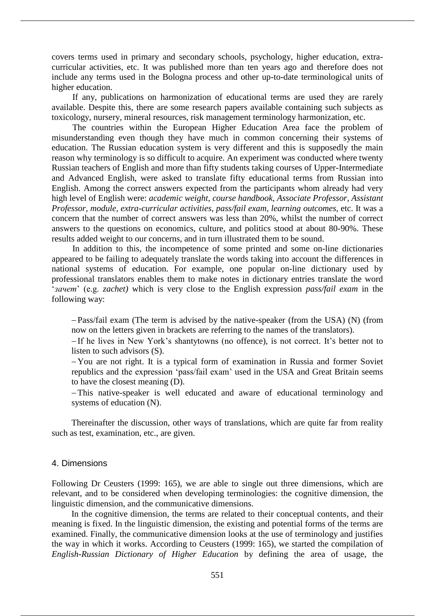covers terms used in primary and secondary schools, psychology, higher education, extracurricular activities, etc. It was published more than ten years ago and therefore does not include any terms used in the Bologna process and other up-to-date terminological units of higher education.

If any, publications on harmonization of educational terms are used they are rarely available. Despite this, there are some research papers available containing such subjects as toxicology, nursery, mineral resources, risk management terminology harmonization, etc.

The countries within the European Higher Education Area face the problem of misunderstanding even though they have much in common concerning their systems of education. The Russian education system is very different and this is supposedly the main reason why terminology is so difficult to acquire. An experiment was conducted where twenty Russian teachers of English and more than fifty students taking courses of Upper-Intermediate and Advanced English, were asked to translate fifty educational terms from Russian into English. Among the correct answers expected from the participants whom already had very high level of English were: *academic weight, course handbook, Associate Professor, Assistant Professor, module, extra-curricular activities, pass/fail exam, learning outcomes,* etc. It was a concern that the number of correct answers was less than 20%, whilst the number of correct answers to the questions on economics, culture, and politics stood at about 80-90%. These results added weight to our concerns, and in turn illustrated them to be sound.

In addition to this, the incompetence of some printed and some on-line dictionaries appeared to be failing to adequately translate the words taking into account the differences in national systems of education. For example, one popular on-line dictionary used by professional translators enables them to make notes in dictionary entries translate the word '*зачет*' (e.g. *zachet)* which is very close to the English expression *pass/fail exam* in the following way:

 Pass/fail exam (The term is advised by the native-speaker (from the USA) (N) (from now on the letters given in brackets are referring to the names of the translators).

 If he lives in New York's shantytowns (no offence), is not correct. It's better not to listen to such advisors (S).

- You are not right. It is a typical form of examination in Russia and former Soviet republics and the expression 'pass/fail exam' used in the USA and Great Britain seems to have the closest meaning (D).

This native-speaker is well educated and aware of educational terminology and systems of education (N).

Thereinafter the discussion, other ways of translations, which are quite far from reality such as test, examination, etc., are given.

# 4. Dimensions

Following Dr Ceusters (1999: 165), we are able to single out three dimensions, which are relevant, and to be considered when developing terminologies: the cognitive dimension, the linguistic dimension, and the communicative dimensions.

In the cognitive dimension, the terms are related to their conceptual contents, and their meaning is fixed. In the linguistic dimension, the existing and potential forms of the terms are examined. Finally, the communicative dimension looks at the use of terminology and justifies the way in which it works. According to Ceusters (1999: 165), we started the compilation of *English-Russian Dictionary of Higher Education* by defining the area of usage, the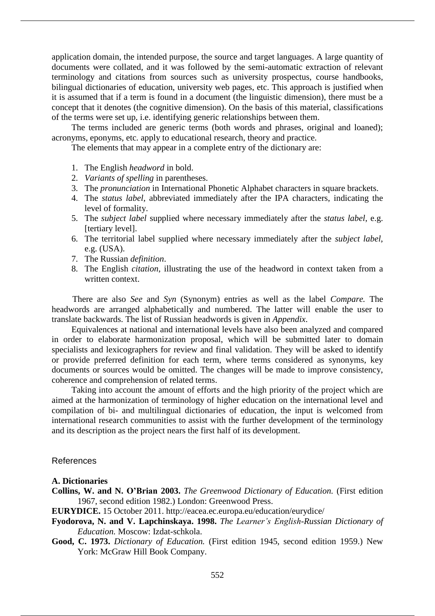application domain, the intended purpose, the source and target languages. A large quantity of documents were collated, and it was followed by the semi-automatic extraction of relevant terminology and citations from sources such as university prospectus, course handbooks, bilingual dictionaries of education, university web pages, etc. This approach is justified when it is assumed that if a term is found in a document (the linguistic dimension), there must be a concept that it denotes (the cognitive dimension). On the basis of this material, classifications of the terms were set up, i.e. identifying generic relationships between them.

The terms included are generic terms (both words and phrases, original and loaned); acronyms, eponyms, etc. apply to educational research, theory and practice.

The elements that may appear in a complete entry of the dictionary are:

- 1. The English *headword* in bold.
- 2. *Variants of spelling* in parentheses.
- 3. The *pronunciation* in International Phonetic Alphabet characters in square brackets.
- 4. The *status label*, abbreviated immediately after the IPA characters, indicating the level of formality.
- 5. The *subject label* supplied where necessary immediately after the *status label*, e.g. [tertiary level].
- 6. The territorial label supplied where necessary immediately after the *subject label*, e.g. (USA).
- 7. The Russian *definition*.
- 8. The English *citation*, illustrating the use of the headword in context taken from a written context.

There are also *See* and *Syn* (Synonym) entries as well as the label *Compare.* The headwords are arranged alphabetically and numbered. The latter will enable the user to translate backwards. The list of Russian headwords is given in *Appendix*.

Equivalences at national and international levels have also been analyzed and compared in order to elaborate harmonization proposal, which will be submitted later to domain specialists and lexicographers for review and final validation. They will be asked to identify or provide preferred definition for each term, where terms considered as synonyms, key documents or sources would be omitted. The changes will be made to improve consistency, coherence and comprehension of related terms.

Taking into account the amount of efforts and the high priority of the project which are aimed at the harmonization of terminology of higher education on the international level and compilation of bi- and multilingual dictionaries of education, the input is welcomed from international research communities to assist with the further development of the terminology and its description as the project nears the first half of its development.

## References

#### **A. Dictionaries**

- **Collins, W. and N. O'Brian 2003.** *The Greenwood Dictionary of Education.* (First edition 1967, second edition 1982.) London: Greenwood Press.
- **EURYDICE.** 15 October 2011. http://eacea.ec.europa.eu/education/eurydice/
- **Fyodorova, N. and V. Lapchinskaya. 1998.** *The Learner's English-Russian Dictionary of Education.* Moscow: Izdat-schkola.
- **Good, C. 1973.** *Dictionary of Education.* (First edition 1945, second edition 1959.) New York: McGraw Hill Book Company.